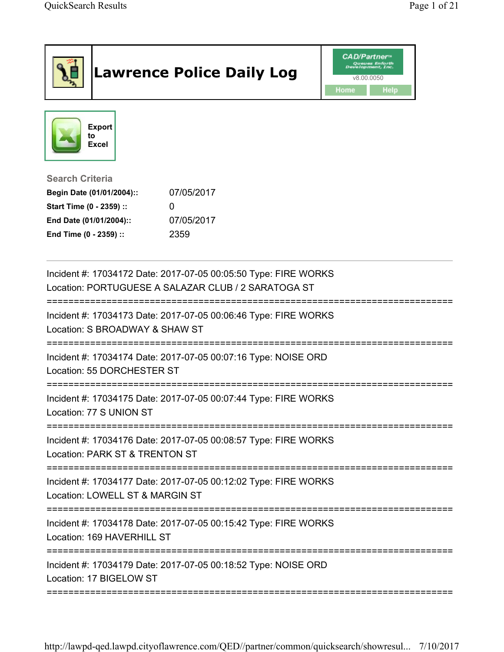|                                                                                                                                      | <b>Lawrence Police Daily Log</b>                                                                                       | <b>CAD/Partner</b> "<br>v8.00.0050<br>Home<br><b>Help</b> |
|--------------------------------------------------------------------------------------------------------------------------------------|------------------------------------------------------------------------------------------------------------------------|-----------------------------------------------------------|
| <b>Export</b><br>to<br><b>Excel</b>                                                                                                  |                                                                                                                        |                                                           |
| <b>Search Criteria</b><br>Begin Date (01/01/2004)::<br>Start Time (0 - 2359) ::<br>End Date (01/01/2004)::<br>End Time (0 - 2359) :: | 07/05/2017<br>0<br>07/05/2017<br>2359                                                                                  |                                                           |
|                                                                                                                                      | Incident #: 17034172 Date: 2017-07-05 00:05:50 Type: FIRE WORKS<br>Location: PORTUGUESE A SALAZAR CLUB / 2 SARATOGA ST |                                                           |
| Location: S BROADWAY & SHAW ST                                                                                                       | Incident #: 17034173 Date: 2017-07-05 00:06:46 Type: FIRE WORKS                                                        |                                                           |
| Location: 55 DORCHESTER ST                                                                                                           | Incident #: 17034174 Date: 2017-07-05 00:07:16 Type: NOISE ORD                                                         |                                                           |
| Location: 77 S UNION ST                                                                                                              | Incident #: 17034175 Date: 2017-07-05 00:07:44 Type: FIRE WORKS<br>=======================                             |                                                           |
| Location: PARK ST & TRENTON ST                                                                                                       | Incident #: 17034176 Date: 2017-07-05 00:08:57 Type: FIRE WORKS                                                        |                                                           |
| Location: LOWELL ST & MARGIN ST                                                                                                      | Incident #: 17034177 Date: 2017-07-05 00:12:02 Type: FIRE WORKS                                                        | ============================                              |
| Location: 169 HAVERHILL ST                                                                                                           | Incident #: 17034178 Date: 2017-07-05 00:15:42 Type: FIRE WORKS                                                        |                                                           |
| Location: 17 BIGELOW ST                                                                                                              | Incident #: 17034179 Date: 2017-07-05 00:18:52 Type: NOISE ORD                                                         |                                                           |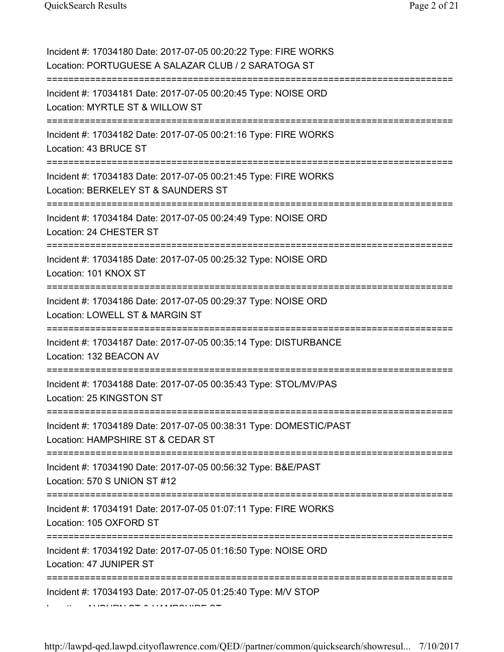| Incident #: 17034180 Date: 2017-07-05 00:20:22 Type: FIRE WORKS<br>Location: PORTUGUESE A SALAZAR CLUB / 2 SARATOGA ST                    |
|-------------------------------------------------------------------------------------------------------------------------------------------|
| Incident #: 17034181 Date: 2017-07-05 00:20:45 Type: NOISE ORD<br>Location: MYRTLE ST & WILLOW ST                                         |
| Incident #: 17034182 Date: 2017-07-05 00:21:16 Type: FIRE WORKS<br>Location: 43 BRUCE ST                                                  |
| Incident #: 17034183 Date: 2017-07-05 00:21:45 Type: FIRE WORKS<br>Location: BERKELEY ST & SAUNDERS ST<br>=============================== |
| Incident #: 17034184 Date: 2017-07-05 00:24:49 Type: NOISE ORD<br>Location: 24 CHESTER ST<br>=====================================        |
| Incident #: 17034185 Date: 2017-07-05 00:25:32 Type: NOISE ORD<br>Location: 101 KNOX ST<br>.=============================                 |
| Incident #: 17034186 Date: 2017-07-05 00:29:37 Type: NOISE ORD<br>Location: LOWELL ST & MARGIN ST                                         |
| Incident #: 17034187 Date: 2017-07-05 00:35:14 Type: DISTURBANCE<br>Location: 132 BEACON AV                                               |
| Incident #: 17034188 Date: 2017-07-05 00:35:43 Type: STOL/MV/PAS<br>Location: 25 KINGSTON ST                                              |
| Incident #: 17034189 Date: 2017-07-05 00:38:31 Type: DOMESTIC/PAST<br>Location: HAMPSHIRE ST & CEDAR ST                                   |
| Incident #: 17034190 Date: 2017-07-05 00:56:32 Type: B&E/PAST<br>Location: 570 S UNION ST #12                                             |
| Incident #: 17034191 Date: 2017-07-05 01:07:11 Type: FIRE WORKS<br>Location: 105 OXFORD ST                                                |
| Incident #: 17034192 Date: 2017-07-05 01:16:50 Type: NOISE ORD<br>Location: 47 JUNIPER ST                                                 |
| Incident #: 17034193 Date: 2017-07-05 01:25:40 Type: M/V STOP                                                                             |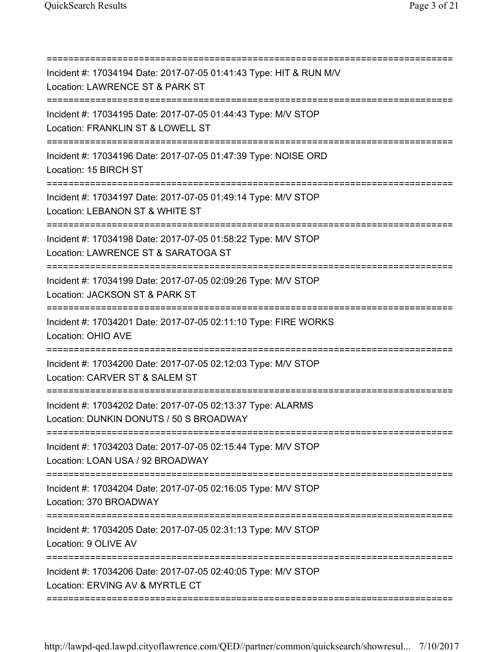| Incident #: 17034194 Date: 2017-07-05 01:41:43 Type: HIT & RUN M/V<br>Location: LAWRENCE ST & PARK ST  |
|--------------------------------------------------------------------------------------------------------|
| Incident #: 17034195 Date: 2017-07-05 01:44:43 Type: M/V STOP<br>Location: FRANKLIN ST & LOWELL ST     |
| Incident #: 17034196 Date: 2017-07-05 01:47:39 Type: NOISE ORD<br>Location: 15 BIRCH ST                |
| Incident #: 17034197 Date: 2017-07-05 01:49:14 Type: M/V STOP<br>Location: LEBANON ST & WHITE ST       |
| Incident #: 17034198 Date: 2017-07-05 01:58:22 Type: M/V STOP<br>Location: LAWRENCE ST & SARATOGA ST   |
| Incident #: 17034199 Date: 2017-07-05 02:09:26 Type: M/V STOP<br>Location: JACKSON ST & PARK ST        |
| Incident #: 17034201 Date: 2017-07-05 02:11:10 Type: FIRE WORKS<br>Location: OHIO AVE                  |
| Incident #: 17034200 Date: 2017-07-05 02:12:03 Type: M/V STOP<br>Location: CARVER ST & SALEM ST        |
| Incident #: 17034202 Date: 2017-07-05 02:13:37 Type: ALARMS<br>Location: DUNKIN DONUTS / 50 S BROADWAY |
| Incident #: 17034203 Date: 2017-07-05 02:15:44 Type: M/V STOP<br>Location: LOAN USA / 92 BROADWAY      |
| Incident #: 17034204 Date: 2017-07-05 02:16:05 Type: M/V STOP<br>Location: 370 BROADWAY                |
| Incident #: 17034205 Date: 2017-07-05 02:31:13 Type: M/V STOP<br>Location: 9 OLIVE AV                  |
| Incident #: 17034206 Date: 2017-07-05 02:40:05 Type: M/V STOP<br>Location: ERVING AV & MYRTLE CT       |
|                                                                                                        |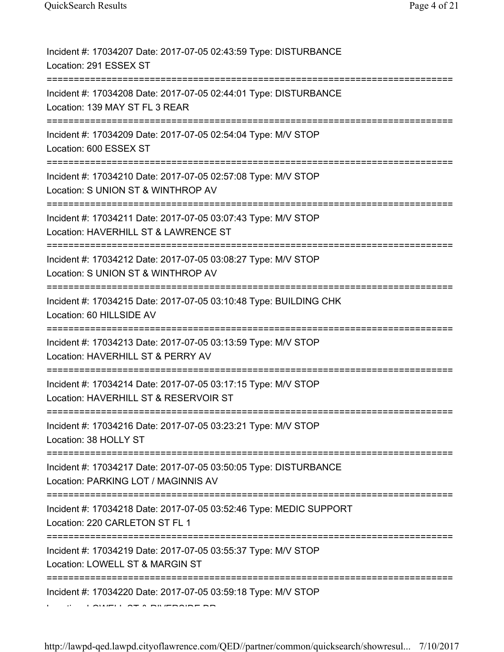| Incident #: 17034207 Date: 2017-07-05 02:43:59 Type: DISTURBANCE<br>Location: 291 ESSEX ST                       |
|------------------------------------------------------------------------------------------------------------------|
| Incident #: 17034208 Date: 2017-07-05 02:44:01 Type: DISTURBANCE<br>Location: 139 MAY ST FL 3 REAR               |
| Incident #: 17034209 Date: 2017-07-05 02:54:04 Type: M/V STOP<br>Location: 600 ESSEX ST                          |
| Incident #: 17034210 Date: 2017-07-05 02:57:08 Type: M/V STOP<br>Location: S UNION ST & WINTHROP AV              |
| Incident #: 17034211 Date: 2017-07-05 03:07:43 Type: M/V STOP<br>Location: HAVERHILL ST & LAWRENCE ST            |
| Incident #: 17034212 Date: 2017-07-05 03:08:27 Type: M/V STOP<br>Location: S UNION ST & WINTHROP AV<br>========= |
| Incident #: 17034215 Date: 2017-07-05 03:10:48 Type: BUILDING CHK<br>Location: 60 HILLSIDE AV                    |
| Incident #: 17034213 Date: 2017-07-05 03:13:59 Type: M/V STOP<br>Location: HAVERHILL ST & PERRY AV               |
| Incident #: 17034214 Date: 2017-07-05 03:17:15 Type: M/V STOP<br>Location: HAVERHILL ST & RESERVOIR ST           |
| Incident #: 17034216 Date: 2017-07-05 03:23:21 Type: M/V STOP<br>Location: 38 HOLLY ST                           |
| Incident #: 17034217 Date: 2017-07-05 03:50:05 Type: DISTURBANCE<br>Location: PARKING LOT / MAGINNIS AV          |
| Incident #: 17034218 Date: 2017-07-05 03:52:46 Type: MEDIC SUPPORT<br>Location: 220 CARLETON ST FL 1             |
| Incident #: 17034219 Date: 2017-07-05 03:55:37 Type: M/V STOP<br>Location: LOWELL ST & MARGIN ST                 |
| Incident #: 17034220 Date: 2017-07-05 03:59:18 Type: M/V STOP                                                    |
|                                                                                                                  |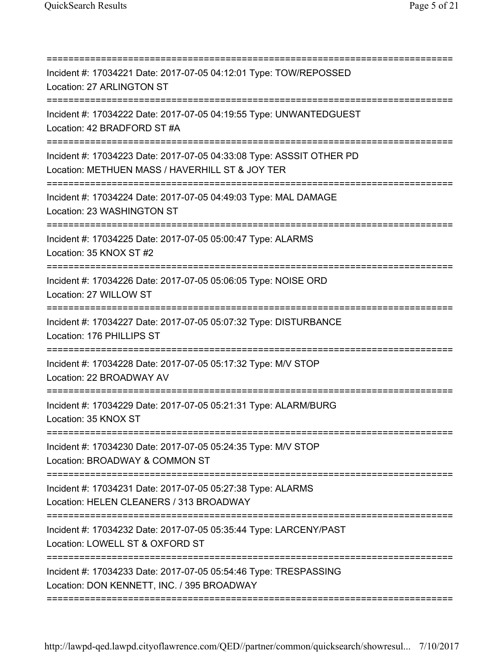| ============================                                                                                                         |
|--------------------------------------------------------------------------------------------------------------------------------------|
| Incident #: 17034221 Date: 2017-07-05 04:12:01 Type: TOW/REPOSSED<br>Location: 27 ARLINGTON ST                                       |
| Incident #: 17034222 Date: 2017-07-05 04:19:55 Type: UNWANTEDGUEST<br>Location: 42 BRADFORD ST #A<br>=============================== |
| Incident #: 17034223 Date: 2017-07-05 04:33:08 Type: ASSSIT OTHER PD<br>Location: METHUEN MASS / HAVERHILL ST & JOY TER              |
| Incident #: 17034224 Date: 2017-07-05 04:49:03 Type: MAL DAMAGE<br>Location: 23 WASHINGTON ST                                        |
| Incident #: 17034225 Date: 2017-07-05 05:00:47 Type: ALARMS<br>Location: 35 KNOX ST #2                                               |
| Incident #: 17034226 Date: 2017-07-05 05:06:05 Type: NOISE ORD<br>Location: 27 WILLOW ST                                             |
| Incident #: 17034227 Date: 2017-07-05 05:07:32 Type: DISTURBANCE<br>Location: 176 PHILLIPS ST<br>=================================== |
| Incident #: 17034228 Date: 2017-07-05 05:17:32 Type: M/V STOP<br>Location: 22 BROADWAY AV                                            |
| Incident #: 17034229 Date: 2017-07-05 05:21:31 Type: ALARM/BURG<br>Location: 35 KNOX ST                                              |
| Incident #: 17034230 Date: 2017-07-05 05:24:35 Type: M/V STOP<br>Location: BROADWAY & COMMON ST<br>;=======================          |
| ,,,,,,,,,,,,,,,,<br>Incident #: 17034231 Date: 2017-07-05 05:27:38 Type: ALARMS<br>Location: HELEN CLEANERS / 313 BROADWAY           |
| Incident #: 17034232 Date: 2017-07-05 05:35:44 Type: LARCENY/PAST<br>Location: LOWELL ST & OXFORD ST                                 |
| Incident #: 17034233 Date: 2017-07-05 05:54:46 Type: TRESPASSING<br>Location: DON KENNETT, INC. / 395 BROADWAY                       |
|                                                                                                                                      |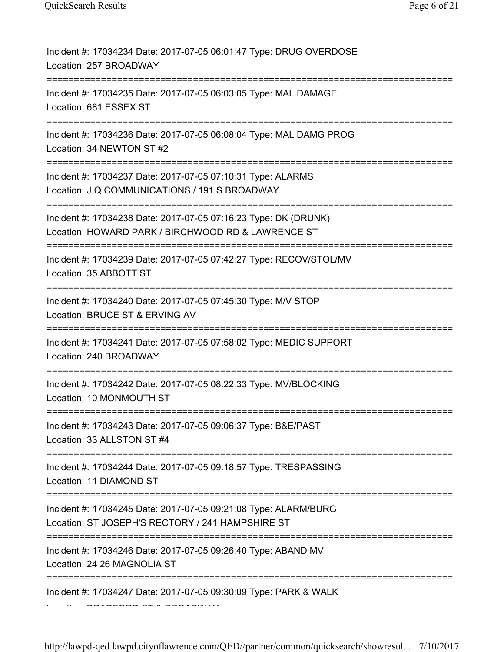| Incident #: 17034234 Date: 2017-07-05 06:01:47 Type: DRUG OVERDOSE<br>Location: 257 BROADWAY                                |
|-----------------------------------------------------------------------------------------------------------------------------|
| Incident #: 17034235 Date: 2017-07-05 06:03:05 Type: MAL DAMAGE<br>Location: 681 ESSEX ST                                   |
| Incident #: 17034236 Date: 2017-07-05 06:08:04 Type: MAL DAMG PROG<br>Location: 34 NEWTON ST #2                             |
| Incident #: 17034237 Date: 2017-07-05 07:10:31 Type: ALARMS<br>Location: J Q COMMUNICATIONS / 191 S BROADWAY                |
| Incident #: 17034238 Date: 2017-07-05 07:16:23 Type: DK (DRUNK)<br>Location: HOWARD PARK / BIRCHWOOD RD & LAWRENCE ST       |
| Incident #: 17034239 Date: 2017-07-05 07:42:27 Type: RECOV/STOL/MV<br>Location: 35 ABBOTT ST                                |
| Incident #: 17034240 Date: 2017-07-05 07:45:30 Type: M/V STOP<br>Location: BRUCE ST & ERVING AV                             |
| Incident #: 17034241 Date: 2017-07-05 07:58:02 Type: MEDIC SUPPORT<br>Location: 240 BROADWAY                                |
| Incident #: 17034242 Date: 2017-07-05 08:22:33 Type: MV/BLOCKING<br>Location: 10 MONMOUTH ST                                |
| Incident #: 17034243 Date: 2017-07-05 09:06:37 Type: B&E/PAST<br>Location: 33 ALLSTON ST #4<br>---------------------------- |
| Incident #: 17034244 Date: 2017-07-05 09:18:57 Type: TRESPASSING<br>Location: 11 DIAMOND ST                                 |
| Incident #: 17034245 Date: 2017-07-05 09:21:08 Type: ALARM/BURG<br>Location: ST JOSEPH'S RECTORY / 241 HAMPSHIRE ST         |
| Incident #: 17034246 Date: 2017-07-05 09:26:40 Type: ABAND MV<br>Location: 24 26 MAGNOLIA ST                                |
| Incident #: 17034247 Date: 2017-07-05 09:30:09 Type: PARK & WALK                                                            |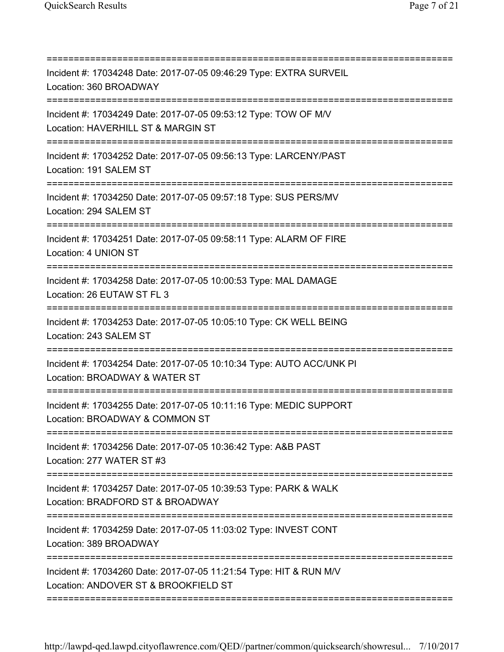| Incident #: 17034248 Date: 2017-07-05 09:46:29 Type: EXTRA SURVEIL<br>Location: 360 BROADWAY                                     |
|----------------------------------------------------------------------------------------------------------------------------------|
| Incident #: 17034249 Date: 2017-07-05 09:53:12 Type: TOW OF M/V<br>Location: HAVERHILL ST & MARGIN ST<br>======================= |
| Incident #: 17034252 Date: 2017-07-05 09:56:13 Type: LARCENY/PAST<br>Location: 191 SALEM ST                                      |
| Incident #: 17034250 Date: 2017-07-05 09:57:18 Type: SUS PERS/MV<br>Location: 294 SALEM ST                                       |
| Incident #: 17034251 Date: 2017-07-05 09:58:11 Type: ALARM OF FIRE<br>Location: 4 UNION ST                                       |
| Incident #: 17034258 Date: 2017-07-05 10:00:53 Type: MAL DAMAGE<br>Location: 26 EUTAW ST FL 3                                    |
| Incident #: 17034253 Date: 2017-07-05 10:05:10 Type: CK WELL BEING<br>Location: 243 SALEM ST                                     |
| Incident #: 17034254 Date: 2017-07-05 10:10:34 Type: AUTO ACC/UNK PI<br>Location: BROADWAY & WATER ST                            |
| Incident #: 17034255 Date: 2017-07-05 10:11:16 Type: MEDIC SUPPORT<br>Location: BROADWAY & COMMON ST                             |
| Incident #: 17034256 Date: 2017-07-05 10:36:42 Type: A&B PAST<br>Location: 277 WATER ST #3                                       |
| Incident #: 17034257 Date: 2017-07-05 10:39:53 Type: PARK & WALK<br>Location: BRADFORD ST & BROADWAY                             |
| Incident #: 17034259 Date: 2017-07-05 11:03:02 Type: INVEST CONT<br>Location: 389 BROADWAY                                       |
| Incident #: 17034260 Date: 2017-07-05 11:21:54 Type: HIT & RUN M/V<br>Location: ANDOVER ST & BROOKFIELD ST                       |
|                                                                                                                                  |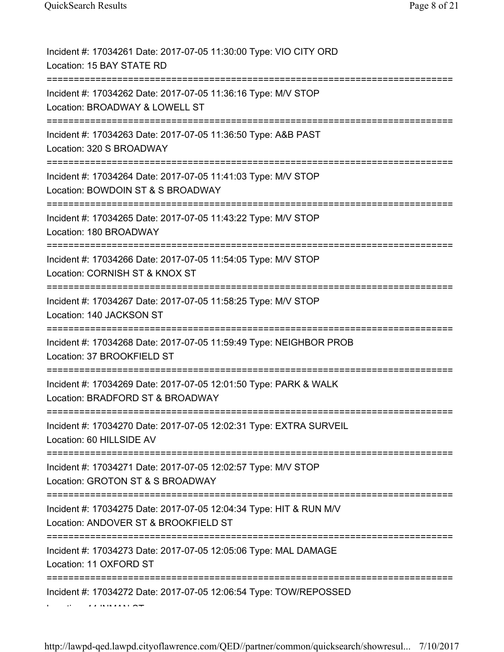| Incident #: 17034261 Date: 2017-07-05 11:30:00 Type: VIO CITY ORD<br>Location: 15 BAY STATE RD                                          |
|-----------------------------------------------------------------------------------------------------------------------------------------|
| Incident #: 17034262 Date: 2017-07-05 11:36:16 Type: M/V STOP<br>Location: BROADWAY & LOWELL ST                                         |
| Incident #: 17034263 Date: 2017-07-05 11:36:50 Type: A&B PAST<br>Location: 320 S BROADWAY                                               |
| Incident #: 17034264 Date: 2017-07-05 11:41:03 Type: M/V STOP<br>Location: BOWDOIN ST & S BROADWAY                                      |
| Incident #: 17034265 Date: 2017-07-05 11:43:22 Type: M/V STOP<br>Location: 180 BROADWAY                                                 |
| Incident #: 17034266 Date: 2017-07-05 11:54:05 Type: M/V STOP<br>Location: CORNISH ST & KNOX ST                                         |
| Incident #: 17034267 Date: 2017-07-05 11:58:25 Type: M/V STOP<br>Location: 140 JACKSON ST                                               |
| Incident #: 17034268 Date: 2017-07-05 11:59:49 Type: NEIGHBOR PROB<br>Location: 37 BROOKFIELD ST                                        |
| Incident #: 17034269 Date: 2017-07-05 12:01:50 Type: PARK & WALK<br>Location: BRADFORD ST & BROADWAY                                    |
| Incident #: 17034270 Date: 2017-07-05 12:02:31 Type: EXTRA SURVEIL<br>Location: 60 HILLSIDE AV                                          |
| Incident #: 17034271 Date: 2017-07-05 12:02:57 Type: M/V STOP<br>Location: GROTON ST & S BROADWAY                                       |
| Incident #: 17034275 Date: 2017-07-05 12:04:34 Type: HIT & RUN M/V<br>Location: ANDOVER ST & BROOKFIELD ST<br>:======================== |
| Incident #: 17034273 Date: 2017-07-05 12:05:06 Type: MAL DAMAGE<br>Location: 11 OXFORD ST                                               |
| Incident #: 17034272 Date: 2017-07-05 12:06:54 Type: TOW/REPOSSED                                                                       |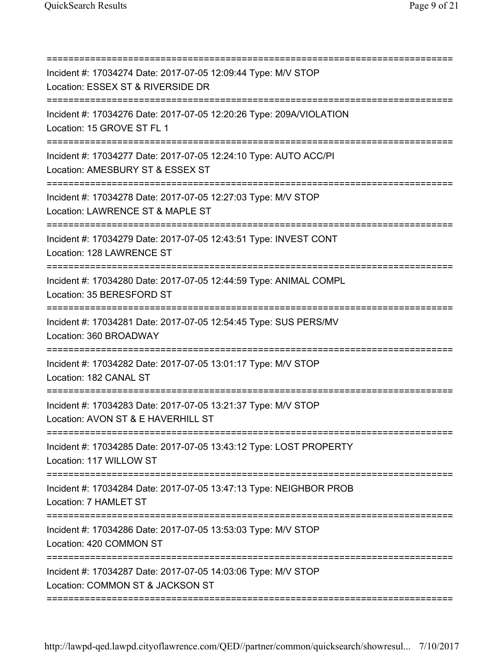| Incident #: 17034274 Date: 2017-07-05 12:09:44 Type: M/V STOP<br>Location: ESSEX ST & RIVERSIDE DR<br>=========================          |
|------------------------------------------------------------------------------------------------------------------------------------------|
| Incident #: 17034276 Date: 2017-07-05 12:20:26 Type: 209A/VIOLATION<br>Location: 15 GROVE ST FL 1<br>=================================== |
| Incident #: 17034277 Date: 2017-07-05 12:24:10 Type: AUTO ACC/PI<br>Location: AMESBURY ST & ESSEX ST                                     |
| Incident #: 17034278 Date: 2017-07-05 12:27:03 Type: M/V STOP<br>Location: LAWRENCE ST & MAPLE ST                                        |
| Incident #: 17034279 Date: 2017-07-05 12:43:51 Type: INVEST CONT<br>Location: 128 LAWRENCE ST                                            |
| Incident #: 17034280 Date: 2017-07-05 12:44:59 Type: ANIMAL COMPL<br>Location: 35 BERESFORD ST                                           |
| Incident #: 17034281 Date: 2017-07-05 12:54:45 Type: SUS PERS/MV<br>Location: 360 BROADWAY                                               |
| Incident #: 17034282 Date: 2017-07-05 13:01:17 Type: M/V STOP<br>Location: 182 CANAL ST                                                  |
| Incident #: 17034283 Date: 2017-07-05 13:21:37 Type: M/V STOP<br>Location: AVON ST & E HAVERHILL ST                                      |
| Incident #: 17034285 Date: 2017-07-05 13:43:12 Type: LOST PROPERTY<br>Location: 117 WILLOW ST                                            |
| Incident #: 17034284 Date: 2017-07-05 13:47:13 Type: NEIGHBOR PROB<br>Location: 7 HAMLET ST                                              |
| Incident #: 17034286 Date: 2017-07-05 13:53:03 Type: M/V STOP<br>Location: 420 COMMON ST                                                 |
| Incident #: 17034287 Date: 2017-07-05 14:03:06 Type: M/V STOP<br>Location: COMMON ST & JACKSON ST                                        |

===========================================================================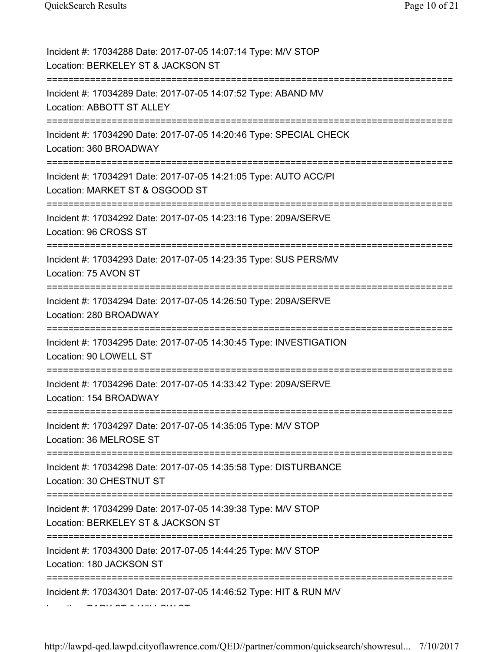| Incident #: 17034288 Date: 2017-07-05 14:07:14 Type: M/V STOP<br>Location: BERKELEY ST & JACKSON ST                                           |
|-----------------------------------------------------------------------------------------------------------------------------------------------|
| Incident #: 17034289 Date: 2017-07-05 14:07:52 Type: ABAND MV<br>Location: ABBOTT ST ALLEY                                                    |
| Incident #: 17034290 Date: 2017-07-05 14:20:46 Type: SPECIAL CHECK<br>Location: 360 BROADWAY                                                  |
| Incident #: 17034291 Date: 2017-07-05 14:21:05 Type: AUTO ACC/PI<br>Location: MARKET ST & OSGOOD ST<br>====================================== |
| Incident #: 17034292 Date: 2017-07-05 14:23:16 Type: 209A/SERVE<br>Location: 96 CROSS ST                                                      |
| Incident #: 17034293 Date: 2017-07-05 14:23:35 Type: SUS PERS/MV<br>Location: 75 AVON ST<br>================================                  |
| Incident #: 17034294 Date: 2017-07-05 14:26:50 Type: 209A/SERVE<br>Location: 280 BROADWAY                                                     |
| Incident #: 17034295 Date: 2017-07-05 14:30:45 Type: INVESTIGATION<br>Location: 90 LOWELL ST                                                  |
| Incident #: 17034296 Date: 2017-07-05 14:33:42 Type: 209A/SERVE<br>Location: 154 BROADWAY                                                     |
| Incident #: 17034297 Date: 2017-07-05 14:35:05 Type: M/V STOP<br>Location: 36 MELROSE ST                                                      |
| Incident #: 17034298 Date: 2017-07-05 14:35:58 Type: DISTURBANCE<br>Location: 30 CHESTNUT ST                                                  |
| Incident #: 17034299 Date: 2017-07-05 14:39:38 Type: M/V STOP<br>Location: BERKELEY ST & JACKSON ST                                           |
| Incident #: 17034300 Date: 2017-07-05 14:44:25 Type: M/V STOP<br>Location: 180 JACKSON ST                                                     |
| Incident #: 17034301 Date: 2017-07-05 14:46:52 Type: HIT & RUN M/V                                                                            |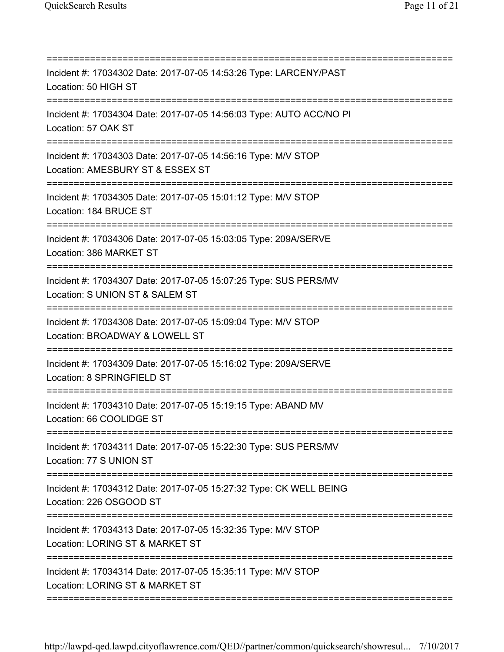| Incident #: 17034302 Date: 2017-07-05 14:53:26 Type: LARCENY/PAST<br>Location: 50 HIGH ST                                 |
|---------------------------------------------------------------------------------------------------------------------------|
| Incident #: 17034304 Date: 2017-07-05 14:56:03 Type: AUTO ACC/NO PI<br>Location: 57 OAK ST                                |
| Incident #: 17034303 Date: 2017-07-05 14:56:16 Type: M/V STOP<br>Location: AMESBURY ST & ESSEX ST                         |
| Incident #: 17034305 Date: 2017-07-05 15:01:12 Type: M/V STOP<br>Location: 184 BRUCE ST<br>============================== |
| Incident #: 17034306 Date: 2017-07-05 15:03:05 Type: 209A/SERVE<br>Location: 386 MARKET ST                                |
| Incident #: 17034307 Date: 2017-07-05 15:07:25 Type: SUS PERS/MV<br>Location: S UNION ST & SALEM ST                       |
| Incident #: 17034308 Date: 2017-07-05 15:09:04 Type: M/V STOP<br>Location: BROADWAY & LOWELL ST                           |
| Incident #: 17034309 Date: 2017-07-05 15:16:02 Type: 209A/SERVE<br>Location: 8 SPRINGFIELD ST                             |
| Incident #: 17034310 Date: 2017-07-05 15:19:15 Type: ABAND MV<br>Location: 66 COOLIDGE ST                                 |
| Incident #: 17034311 Date: 2017-07-05 15:22:30 Type: SUS PERS/MV<br>Location: 77 S UNION ST                               |
| Incident #: 17034312 Date: 2017-07-05 15:27:32 Type: CK WELL BEING<br>Location: 226 OSGOOD ST                             |
| Incident #: 17034313 Date: 2017-07-05 15:32:35 Type: M/V STOP<br>Location: LORING ST & MARKET ST                          |
| Incident #: 17034314 Date: 2017-07-05 15:35:11 Type: M/V STOP<br>Location: LORING ST & MARKET ST                          |
|                                                                                                                           |

http://lawpd-qed.lawpd.cityoflawrence.com/QED//partner/common/quicksearch/showresul... 7/10/2017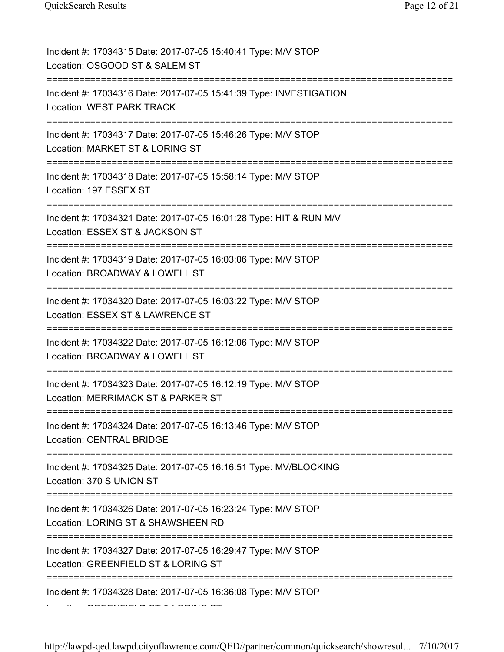| Incident #: 17034315 Date: 2017-07-05 15:40:41 Type: M/V STOP<br>Location: OSGOOD ST & SALEM ST                                 |
|---------------------------------------------------------------------------------------------------------------------------------|
| Incident #: 17034316 Date: 2017-07-05 15:41:39 Type: INVESTIGATION<br><b>Location: WEST PARK TRACK</b>                          |
| Incident #: 17034317 Date: 2017-07-05 15:46:26 Type: M/V STOP<br>Location: MARKET ST & LORING ST                                |
| Incident #: 17034318 Date: 2017-07-05 15:58:14 Type: M/V STOP<br>Location: 197 ESSEX ST                                         |
| Incident #: 17034321 Date: 2017-07-05 16:01:28 Type: HIT & RUN M/V<br>Location: ESSEX ST & JACKSON ST                           |
| Incident #: 17034319 Date: 2017-07-05 16:03:06 Type: M/V STOP<br>Location: BROADWAY & LOWELL ST                                 |
| Incident #: 17034320 Date: 2017-07-05 16:03:22 Type: M/V STOP<br>Location: ESSEX ST & LAWRENCE ST                               |
| Incident #: 17034322 Date: 2017-07-05 16:12:06 Type: M/V STOP<br>Location: BROADWAY & LOWELL ST                                 |
| Incident #: 17034323 Date: 2017-07-05 16:12:19 Type: M/V STOP<br>Location: MERRIMACK ST & PARKER ST                             |
| Incident #: 17034324 Date: 2017-07-05 16:13:46 Type: M/V STOP<br><b>Location: CENTRAL BRIDGE</b>                                |
| Incident #: 17034325 Date: 2017-07-05 16:16:51 Type: MV/BLOCKING<br>Location: 370 S UNION ST                                    |
| Incident #: 17034326 Date: 2017-07-05 16:23:24 Type: M/V STOP<br>Location: LORING ST & SHAWSHEEN RD                             |
| =======================<br>Incident #: 17034327 Date: 2017-07-05 16:29:47 Type: M/V STOP<br>Location: GREENFIELD ST & LORING ST |
| Incident #: 17034328 Date: 2017-07-05 16:36:08 Type: M/V STOP                                                                   |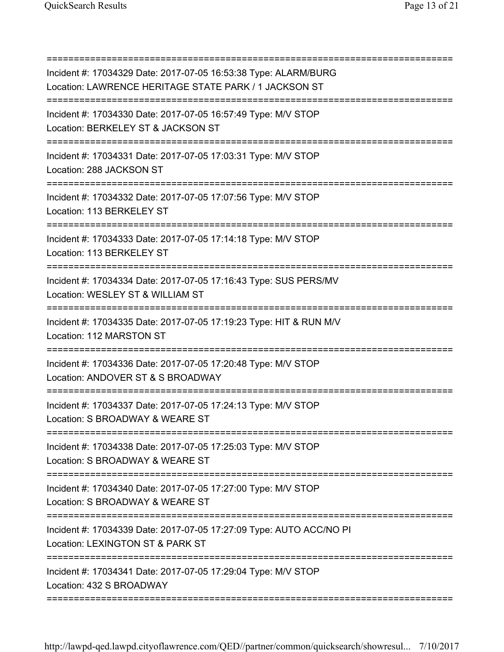| Incident #: 17034329 Date: 2017-07-05 16:53:38 Type: ALARM/BURG<br>Location: LAWRENCE HERITAGE STATE PARK / 1 JACKSON ST                            |
|-----------------------------------------------------------------------------------------------------------------------------------------------------|
| Incident #: 17034330 Date: 2017-07-05 16:57:49 Type: M/V STOP<br>Location: BERKELEY ST & JACKSON ST<br>------------------------------               |
| Incident #: 17034331 Date: 2017-07-05 17:03:31 Type: M/V STOP<br>Location: 288 JACKSON ST                                                           |
| Incident #: 17034332 Date: 2017-07-05 17:07:56 Type: M/V STOP<br>Location: 113 BERKELEY ST                                                          |
| Incident #: 17034333 Date: 2017-07-05 17:14:18 Type: M/V STOP<br>Location: 113 BERKELEY ST                                                          |
| Incident #: 17034334 Date: 2017-07-05 17:16:43 Type: SUS PERS/MV<br>Location: WESLEY ST & WILLIAM ST                                                |
| Incident #: 17034335 Date: 2017-07-05 17:19:23 Type: HIT & RUN M/V<br>Location: 112 MARSTON ST                                                      |
| Incident #: 17034336 Date: 2017-07-05 17:20:48 Type: M/V STOP<br>Location: ANDOVER ST & S BROADWAY                                                  |
| Incident #: 17034337 Date: 2017-07-05 17:24:13 Type: M/V STOP<br>Location: S BROADWAY & WEARE ST                                                    |
| Incident #: 17034338 Date: 2017-07-05 17:25:03 Type: M/V STOP<br>Location: S BROADWAY & WEARE ST                                                    |
| Incident #: 17034340 Date: 2017-07-05 17:27:00 Type: M/V STOP<br>Location: S BROADWAY & WEARE ST                                                    |
| ======================<br>,,,,,,,,,,,,,,<br>Incident #: 17034339 Date: 2017-07-05 17:27:09 Type: AUTO ACC/NO PI<br>Location: LEXINGTON ST & PARK ST |
| Incident #: 17034341 Date: 2017-07-05 17:29:04 Type: M/V STOP<br>Location: 432 S BROADWAY                                                           |

===========================================================================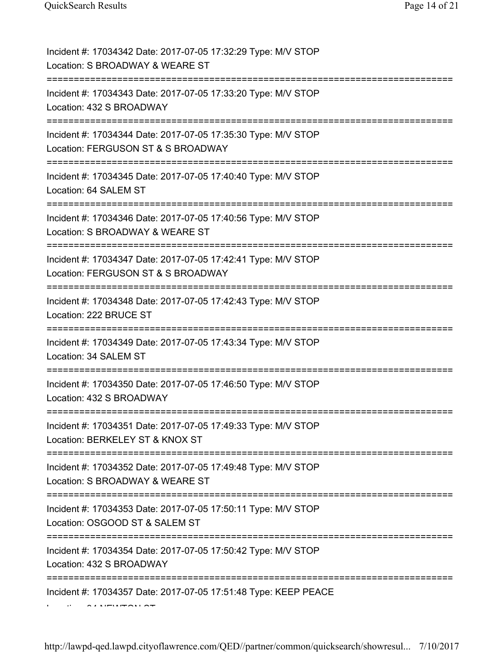| Incident #: 17034342 Date: 2017-07-05 17:32:29 Type: M/V STOP<br>Location: S BROADWAY & WEARE ST                                                |
|-------------------------------------------------------------------------------------------------------------------------------------------------|
| Incident #: 17034343 Date: 2017-07-05 17:33:20 Type: M/V STOP<br>Location: 432 S BROADWAY                                                       |
| Incident #: 17034344 Date: 2017-07-05 17:35:30 Type: M/V STOP<br>Location: FERGUSON ST & S BROADWAY                                             |
| Incident #: 17034345 Date: 2017-07-05 17:40:40 Type: M/V STOP<br>Location: 64 SALEM ST                                                          |
| Incident #: 17034346 Date: 2017-07-05 17:40:56 Type: M/V STOP<br>Location: S BROADWAY & WEARE ST                                                |
| Incident #: 17034347 Date: 2017-07-05 17:42:41 Type: M/V STOP<br>Location: FERGUSON ST & S BROADWAY                                             |
| Incident #: 17034348 Date: 2017-07-05 17:42:43 Type: M/V STOP<br>Location: 222 BRUCE ST                                                         |
| Incident #: 17034349 Date: 2017-07-05 17:43:34 Type: M/V STOP<br>Location: 34 SALEM ST                                                          |
| Incident #: 17034350 Date: 2017-07-05 17:46:50 Type: M/V STOP<br>Location: 432 S BROADWAY                                                       |
| Incident #: 17034351 Date: 2017-07-05 17:49:33 Type: M/V STOP<br>Location: BERKELEY ST & KNOX ST<br>==============<br>------------------------- |
| Incident #: 17034352 Date: 2017-07-05 17:49:48 Type: M/V STOP<br>Location: S BROADWAY & WEARE ST                                                |
| Incident #: 17034353 Date: 2017-07-05 17:50:11 Type: M/V STOP<br>Location: OSGOOD ST & SALEM ST                                                 |
| Incident #: 17034354 Date: 2017-07-05 17:50:42 Type: M/V STOP<br>Location: 432 S BROADWAY                                                       |
| Incident #: 17034357 Date: 2017-07-05 17:51:48 Type: KEEP PEACE                                                                                 |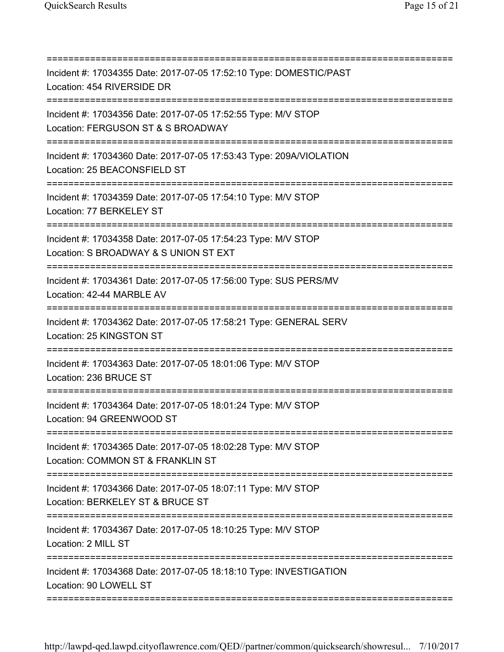| Incident #: 17034355 Date: 2017-07-05 17:52:10 Type: DOMESTIC/PAST<br>Location: 454 RIVERSIDE DR<br>=============================== |
|-------------------------------------------------------------------------------------------------------------------------------------|
| Incident #: 17034356 Date: 2017-07-05 17:52:55 Type: M/V STOP<br>Location: FERGUSON ST & S BROADWAY                                 |
| Incident #: 17034360 Date: 2017-07-05 17:53:43 Type: 209A/VIOLATION<br>Location: 25 BEACONSFIELD ST                                 |
| Incident #: 17034359 Date: 2017-07-05 17:54:10 Type: M/V STOP<br>Location: 77 BERKELEY ST                                           |
| Incident #: 17034358 Date: 2017-07-05 17:54:23 Type: M/V STOP<br>Location: S BROADWAY & S UNION ST EXT                              |
| Incident #: 17034361 Date: 2017-07-05 17:56:00 Type: SUS PERS/MV<br>Location: 42-44 MARBLE AV                                       |
| Incident #: 17034362 Date: 2017-07-05 17:58:21 Type: GENERAL SERV<br>Location: 25 KINGSTON ST                                       |
| Incident #: 17034363 Date: 2017-07-05 18:01:06 Type: M/V STOP<br>Location: 236 BRUCE ST                                             |
| Incident #: 17034364 Date: 2017-07-05 18:01:24 Type: M/V STOP<br>Location: 94 GREENWOOD ST                                          |
| Incident #: 17034365 Date: 2017-07-05 18:02:28 Type: M/V STOP<br>Location: COMMON ST & FRANKLIN ST                                  |
| Incident #: 17034366 Date: 2017-07-05 18:07:11 Type: M/V STOP<br>Location: BERKELEY ST & BRUCE ST                                   |
| Incident #: 17034367 Date: 2017-07-05 18:10:25 Type: M/V STOP<br>Location: 2 MILL ST                                                |
| Incident #: 17034368 Date: 2017-07-05 18:18:10 Type: INVESTIGATION<br>Location: 90 LOWELL ST                                        |
|                                                                                                                                     |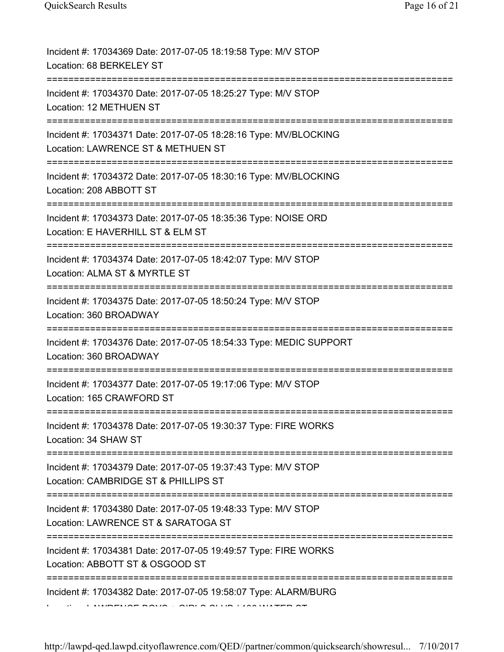| Incident #: 17034369 Date: 2017-07-05 18:19:58 Type: M/V STOP<br>Location: 68 BERKELEY ST              |
|--------------------------------------------------------------------------------------------------------|
| Incident #: 17034370 Date: 2017-07-05 18:25:27 Type: M/V STOP<br>Location: 12 METHUEN ST               |
| Incident #: 17034371 Date: 2017-07-05 18:28:16 Type: MV/BLOCKING<br>Location: LAWRENCE ST & METHUEN ST |
| Incident #: 17034372 Date: 2017-07-05 18:30:16 Type: MV/BLOCKING<br>Location: 208 ABBOTT ST            |
| Incident #: 17034373 Date: 2017-07-05 18:35:36 Type: NOISE ORD<br>Location: E HAVERHILL ST & ELM ST    |
| Incident #: 17034374 Date: 2017-07-05 18:42:07 Type: M/V STOP<br>Location: ALMA ST & MYRTLE ST         |
| Incident #: 17034375 Date: 2017-07-05 18:50:24 Type: M/V STOP<br>Location: 360 BROADWAY                |
| Incident #: 17034376 Date: 2017-07-05 18:54:33 Type: MEDIC SUPPORT<br>Location: 360 BROADWAY           |
| Incident #: 17034377 Date: 2017-07-05 19:17:06 Type: M/V STOP<br>Location: 165 CRAWFORD ST             |
| Incident #: 17034378 Date: 2017-07-05 19:30:37 Type: FIRE WORKS<br>Location: 34 SHAW ST                |
| Incident #: 17034379 Date: 2017-07-05 19:37:43 Type: M/V STOP<br>Location: CAMBRIDGE ST & PHILLIPS ST  |
| Incident #: 17034380 Date: 2017-07-05 19:48:33 Type: M/V STOP<br>Location: LAWRENCE ST & SARATOGA ST   |
| Incident #: 17034381 Date: 2017-07-05 19:49:57 Type: FIRE WORKS<br>Location: ABBOTT ST & OSGOOD ST     |
| Incident #: 17034382 Date: 2017-07-05 19:58:07 Type: ALARM/BURG                                        |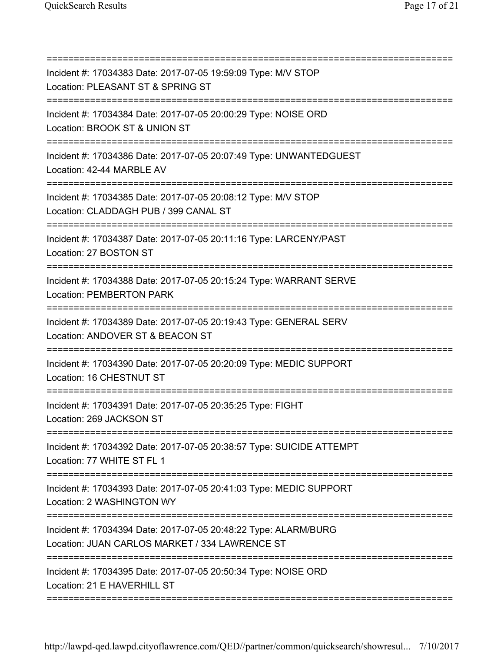| Incident #: 17034383 Date: 2017-07-05 19:59:09 Type: M/V STOP<br>Location: PLEASANT ST & SPRING ST                                              |
|-------------------------------------------------------------------------------------------------------------------------------------------------|
| Incident #: 17034384 Date: 2017-07-05 20:00:29 Type: NOISE ORD<br>Location: BROOK ST & UNION ST                                                 |
| Incident #: 17034386 Date: 2017-07-05 20:07:49 Type: UNWANTEDGUEST<br>Location: 42-44 MARBLE AV                                                 |
| Incident #: 17034385 Date: 2017-07-05 20:08:12 Type: M/V STOP<br>Location: CLADDAGH PUB / 399 CANAL ST                                          |
| Incident #: 17034387 Date: 2017-07-05 20:11:16 Type: LARCENY/PAST<br>Location: 27 BOSTON ST                                                     |
| ======================================<br>Incident #: 17034388 Date: 2017-07-05 20:15:24 Type: WARRANT SERVE<br><b>Location: PEMBERTON PARK</b> |
| ===================================<br>Incident #: 17034389 Date: 2017-07-05 20:19:43 Type: GENERAL SERV<br>Location: ANDOVER ST & BEACON ST    |
| Incident #: 17034390 Date: 2017-07-05 20:20:09 Type: MEDIC SUPPORT<br>Location: 16 CHESTNUT ST                                                  |
| Incident #: 17034391 Date: 2017-07-05 20:35:25 Type: FIGHT<br>Location: 269 JACKSON ST                                                          |
| Incident #: 17034392 Date: 2017-07-05 20:38:57 Type: SUICIDE ATTEMPT<br>Location: 77 WHITE ST FL 1                                              |
| Incident #: 17034393 Date: 2017-07-05 20:41:03 Type: MEDIC SUPPORT<br>Location: 2 WASHINGTON WY                                                 |
| Incident #: 17034394 Date: 2017-07-05 20:48:22 Type: ALARM/BURG<br>Location: JUAN CARLOS MARKET / 334 LAWRENCE ST                               |
| Incident #: 17034395 Date: 2017-07-05 20:50:34 Type: NOISE ORD<br>Location: 21 E HAVERHILL ST                                                   |

===========================================================================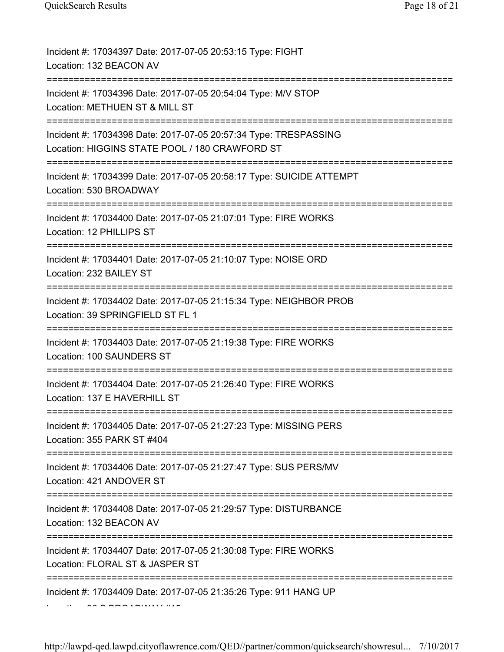| Incident #: 17034397 Date: 2017-07-05 20:53:15 Type: FIGHT<br>Location: 132 BEACON AV                                                                              |
|--------------------------------------------------------------------------------------------------------------------------------------------------------------------|
| Incident #: 17034396 Date: 2017-07-05 20:54:04 Type: M/V STOP<br>Location: METHUEN ST & MILL ST                                                                    |
| Incident #: 17034398 Date: 2017-07-05 20:57:34 Type: TRESPASSING<br>Location: HIGGINS STATE POOL / 180 CRAWFORD ST                                                 |
| Incident #: 17034399 Date: 2017-07-05 20:58:17 Type: SUICIDE ATTEMPT<br>Location: 530 BROADWAY<br>;=====================================<br>====================== |
| Incident #: 17034400 Date: 2017-07-05 21:07:01 Type: FIRE WORKS<br>Location: 12 PHILLIPS ST                                                                        |
| Incident #: 17034401 Date: 2017-07-05 21:10:07 Type: NOISE ORD<br>Location: 232 BAILEY ST                                                                          |
| Incident #: 17034402 Date: 2017-07-05 21:15:34 Type: NEIGHBOR PROB<br>Location: 39 SPRINGFIELD ST FL 1                                                             |
| Incident #: 17034403 Date: 2017-07-05 21:19:38 Type: FIRE WORKS<br>Location: 100 SAUNDERS ST                                                                       |
| Incident #: 17034404 Date: 2017-07-05 21:26:40 Type: FIRE WORKS<br>Location: 137 E HAVERHILL ST                                                                    |
| Incident #: 17034405 Date: 2017-07-05 21:27:23 Type: MISSING PERS<br>Location: 355 PARK ST #404                                                                    |
| Incident #: 17034406 Date: 2017-07-05 21:27:47 Type: SUS PERS/MV<br>Location: 421 ANDOVER ST                                                                       |
| Incident #: 17034408 Date: 2017-07-05 21:29:57 Type: DISTURBANCE<br>Location: 132 BEACON AV                                                                        |
| Incident #: 17034407 Date: 2017-07-05 21:30:08 Type: FIRE WORKS<br>Location: FLORAL ST & JASPER ST                                                                 |
| Incident #: 17034409 Date: 2017-07-05 21:35:26 Type: 911 HANG UP                                                                                                   |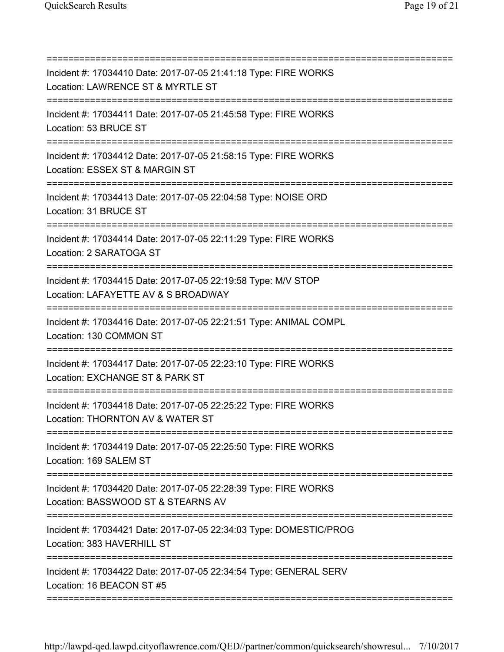| Incident #: 17034410 Date: 2017-07-05 21:41:18 Type: FIRE WORKS<br>Location: LAWRENCE ST & MYRTLE ST                                       |
|--------------------------------------------------------------------------------------------------------------------------------------------|
| Incident #: 17034411 Date: 2017-07-05 21:45:58 Type: FIRE WORKS<br>Location: 53 BRUCE ST                                                   |
| Incident #: 17034412 Date: 2017-07-05 21:58:15 Type: FIRE WORKS<br>Location: ESSEX ST & MARGIN ST                                          |
| Incident #: 17034413 Date: 2017-07-05 22:04:58 Type: NOISE ORD<br>Location: 31 BRUCE ST                                                    |
| Incident #: 17034414 Date: 2017-07-05 22:11:29 Type: FIRE WORKS<br>Location: 2 SARATOGA ST                                                 |
| Incident #: 17034415 Date: 2017-07-05 22:19:58 Type: M/V STOP<br>Location: LAFAYETTE AV & S BROADWAY                                       |
| Incident #: 17034416 Date: 2017-07-05 22:21:51 Type: ANIMAL COMPL<br>Location: 130 COMMON ST                                               |
| :===================================<br>Incident #: 17034417 Date: 2017-07-05 22:23:10 Type: FIRE WORKS<br>Location: EXCHANGE ST & PARK ST |
| Incident #: 17034418 Date: 2017-07-05 22:25:22 Type: FIRE WORKS<br>Location: THORNTON AV & WATER ST                                        |
| Incident #: 17034419 Date: 2017-07-05 22:25:50 Type: FIRE WORKS<br>Location: 169 SALEM ST                                                  |
| Incident #: 17034420 Date: 2017-07-05 22:28:39 Type: FIRE WORKS<br>Location: BASSWOOD ST & STEARNS AV                                      |
| Incident #: 17034421 Date: 2017-07-05 22:34:03 Type: DOMESTIC/PROG<br>Location: 383 HAVERHILL ST                                           |
| Incident #: 17034422 Date: 2017-07-05 22:34:54 Type: GENERAL SERV<br>Location: 16 BEACON ST #5                                             |
|                                                                                                                                            |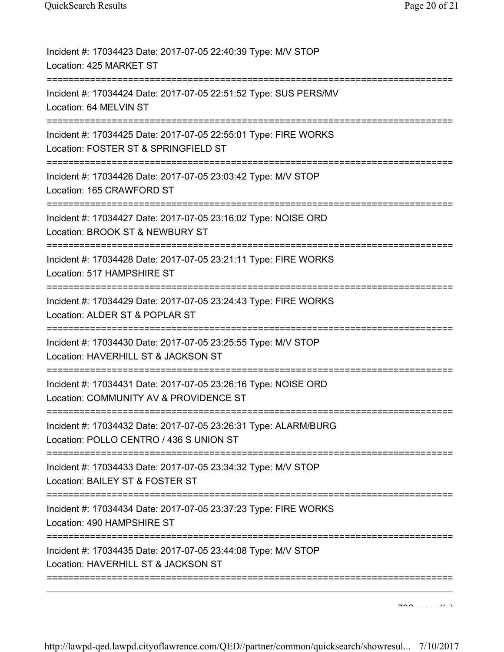| Incident #: 17034423 Date: 2017-07-05 22:40:39 Type: M/V STOP<br>Location: 425 MARKET ST                                                       |
|------------------------------------------------------------------------------------------------------------------------------------------------|
| Incident #: 17034424 Date: 2017-07-05 22:51:52 Type: SUS PERS/MV<br>Location: 64 MELVIN ST                                                     |
| Incident #: 17034425 Date: 2017-07-05 22:55:01 Type: FIRE WORKS<br>Location: FOSTER ST & SPRINGFIELD ST                                        |
| Incident #: 17034426 Date: 2017-07-05 23:03:42 Type: M/V STOP<br>Location: 165 CRAWFORD ST                                                     |
| Incident #: 17034427 Date: 2017-07-05 23:16:02 Type: NOISE ORD<br>Location: BROOK ST & NEWBURY ST<br>======================<br>=============== |
| Incident #: 17034428 Date: 2017-07-05 23:21:11 Type: FIRE WORKS<br>Location: 517 HAMPSHIRE ST                                                  |
| Incident #: 17034429 Date: 2017-07-05 23:24:43 Type: FIRE WORKS<br>Location: ALDER ST & POPLAR ST                                              |
| Incident #: 17034430 Date: 2017-07-05 23:25:55 Type: M/V STOP<br>Location: HAVERHILL ST & JACKSON ST                                           |
| Incident #: 17034431 Date: 2017-07-05 23:26:16 Type: NOISE ORD<br>Location: COMMUNITY AV & PROVIDENCE ST                                       |
| Incident #: 17034432 Date: 2017-07-05 23:26:31 Type: ALARM/BURG<br>Location: POLLO CENTRO / 436 S UNION ST                                     |
| Incident #: 17034433 Date: 2017-07-05 23:34:32 Type: M/V STOP<br>Location: BAILEY ST & FOSTER ST                                               |
| Incident #: 17034434 Date: 2017-07-05 23:37:23 Type: FIRE WORKS<br>Location: 490 HAMPSHIRE ST<br>:====================                         |
| Incident #: 17034435 Date: 2017-07-05 23:44:08 Type: M/V STOP<br>Location: HAVERHILL ST & JACKSON ST                                           |
|                                                                                                                                                |

 $700 \ldots \ldots$